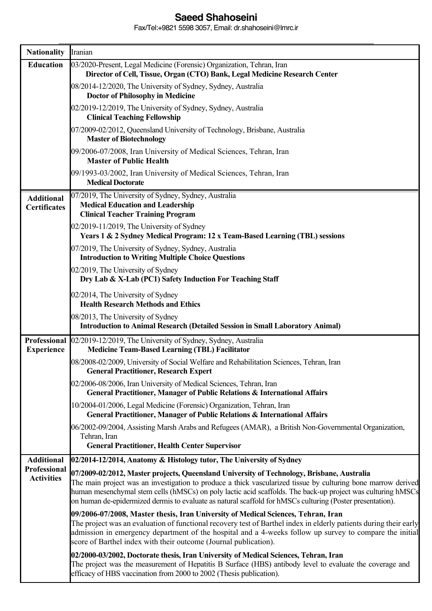## **Saeed Shahoseini**

Fax/Tel:+9821 5598 3057, Email: dr.shahoseini@lmrc.ir

| <b>Nationality</b>                       | Iranian                                                                                                                                                                                                                                                                                                                                                                               |
|------------------------------------------|---------------------------------------------------------------------------------------------------------------------------------------------------------------------------------------------------------------------------------------------------------------------------------------------------------------------------------------------------------------------------------------|
| <b>Education</b>                         | 03/2020-Present, Legal Medicine (Forensic) Organization, Tehran, Iran<br>Director of Cell, Tissue, Organ (CTO) Bank, Legal Medicine Research Center                                                                                                                                                                                                                                   |
|                                          | 08/2014-12/2020, The University of Sydney, Sydney, Australia<br><b>Doctor of Philosophy in Medicine</b>                                                                                                                                                                                                                                                                               |
|                                          | 02/2019-12/2019, The University of Sydney, Sydney, Australia<br><b>Clinical Teaching Fellowship</b>                                                                                                                                                                                                                                                                                   |
|                                          | 07/2009-02/2012, Queensland University of Technology, Brisbane, Australia<br><b>Master of Biotechnology</b>                                                                                                                                                                                                                                                                           |
|                                          | 09/2006-07/2008, Iran University of Medical Sciences, Tehran, Iran<br><b>Master of Public Health</b>                                                                                                                                                                                                                                                                                  |
|                                          | 09/1993-03/2002, Iran University of Medical Sciences, Tehran, Iran<br><b>Medical Doctorate</b>                                                                                                                                                                                                                                                                                        |
| <b>Additional</b><br><b>Certificates</b> | 07/2019, The University of Sydney, Sydney, Australia<br><b>Medical Education and Leadership</b><br><b>Clinical Teacher Training Program</b>                                                                                                                                                                                                                                           |
|                                          | 02/2019-11/2019, The University of Sydney<br>Years 1 & 2 Sydney Medical Program: 12 x Team-Based Learning (TBL) sessions                                                                                                                                                                                                                                                              |
|                                          | 07/2019, The University of Sydney, Sydney, Australia<br><b>Introduction to Writing Multiple Choice Questions</b>                                                                                                                                                                                                                                                                      |
|                                          | 02/2019, The University of Sydney<br>Dry Lab & X-Lab (PC1) Safety Induction For Teaching Staff                                                                                                                                                                                                                                                                                        |
|                                          | 02/2014, The University of Sydney<br><b>Health Research Methods and Ethics</b>                                                                                                                                                                                                                                                                                                        |
|                                          | 08/2013, The University of Sydney<br><b>Introduction to Animal Research (Detailed Session in Small Laboratory Animal)</b>                                                                                                                                                                                                                                                             |
| Professional<br><b>Experience</b>        | 02/2019-12/2019, The University of Sydney, Sydney, Australia<br><b>Medicine Team-Based Learning (TBL) Facilitator</b>                                                                                                                                                                                                                                                                 |
|                                          | 08/2008-02/2009, University of Social Welfare and Rehabilitation Sciences, Tehran, Iran<br><b>General Practitioner, Research Expert</b>                                                                                                                                                                                                                                               |
|                                          | 02/2006-08/2006, Iran University of Medical Sciences, Tehran, Iran<br>General Practitioner, Manager of Public Relations & International Affairs                                                                                                                                                                                                                                       |
|                                          | 10/2004-01/2006, Legal Medicine (Forensic) Organization, Tehran, Iran<br><b>General Practitioner, Manager of Public Relations &amp; International Affairs</b>                                                                                                                                                                                                                         |
|                                          | 06/2002-09/2004, Assisting Marsh Arabs and Refugees (AMAR), a British Non-Governmental Organization,<br>Tehran, Iran                                                                                                                                                                                                                                                                  |
| <b>Additional</b>                        | <b>General Practitioner, Health Center Supervisor</b><br>02/2014-12/2014, Anatomy & Histology tutor, The University of Sydney                                                                                                                                                                                                                                                         |
| Professional                             | 07/2009-02/2012, Master projects, Queensland University of Technology, Brisbane, Australia                                                                                                                                                                                                                                                                                            |
| <b>Activities</b>                        | The main project was an investigation to produce a thick vascularized tissue by culturing bone marrow derived<br>human mesenchymal stem cells (hMSCs) on poly lactic acid scaffolds. The back-up project was culturing hMSCs<br>on human de-epidermized dermis to evaluate as natural scaffold for hMSCs culturing (Poster presentation).                                             |
|                                          | 09/2006-07/2008, Master thesis, Iran University of Medical Sciences, Tehran, Iran<br>The project was an evaluation of functional recovery test of Barthel index in elderly patients during their early<br>admission in emergency department of the hospital and a 4-weeks follow up survey to compare the initial<br>score of Barthel index with their outcome (Journal publication). |
|                                          | 02/2000-03/2002, Doctorate thesis, Iran University of Medical Sciences, Tehran, Iran<br>The project was the measurement of Hepatitis B Surface (HBS) antibody level to evaluate the coverage and<br>efficacy of HBS vaccination from 2000 to 2002 (Thesis publication).                                                                                                               |